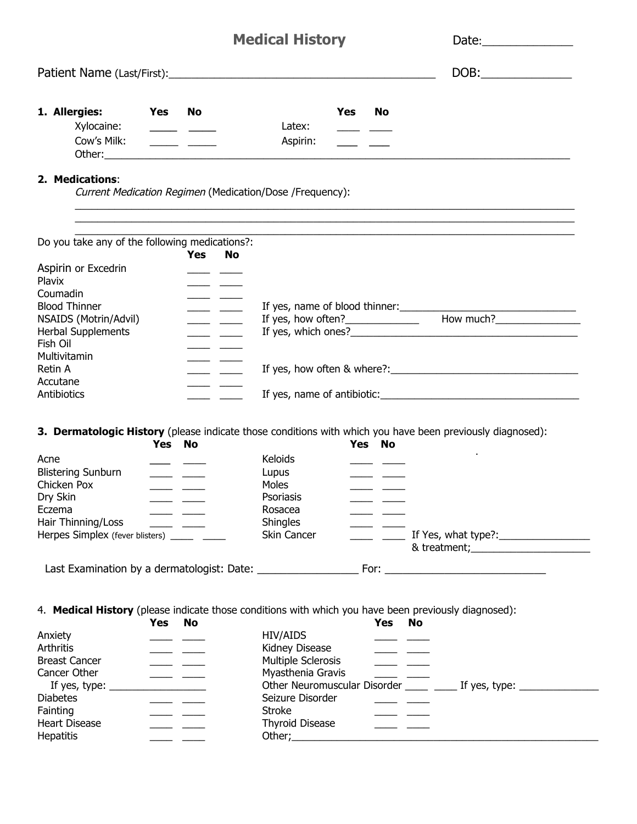|                                                                                                      |                                   |                                                                                                                                                                                                                                                                                                                                                                                                                       | <b>Medical History</b>                                   |     |        |                                                                                                                                                                                                                                                                                                                                                                                                                       | Date: $\qquad \qquad$                                                                                                                                                                                                          |
|------------------------------------------------------------------------------------------------------|-----------------------------------|-----------------------------------------------------------------------------------------------------------------------------------------------------------------------------------------------------------------------------------------------------------------------------------------------------------------------------------------------------------------------------------------------------------------------|----------------------------------------------------------|-----|--------|-----------------------------------------------------------------------------------------------------------------------------------------------------------------------------------------------------------------------------------------------------------------------------------------------------------------------------------------------------------------------------------------------------------------------|--------------------------------------------------------------------------------------------------------------------------------------------------------------------------------------------------------------------------------|
|                                                                                                      |                                   |                                                                                                                                                                                                                                                                                                                                                                                                                       |                                                          |     |        |                                                                                                                                                                                                                                                                                                                                                                                                                       | $DOB:\_$                                                                                                                                                                                                                       |
| 1. Allergies:<br>Xylocaine:                                                                          | <b>Solution Service Stress No</b> | $\overline{\phantom{a}}$ $\overline{\phantom{a}}$                                                                                                                                                                                                                                                                                                                                                                     | Latex:                                                   | Yes | No     |                                                                                                                                                                                                                                                                                                                                                                                                                       |                                                                                                                                                                                                                                |
| Cow's Milk:                                                                                          |                                   | $\frac{1}{1-\frac{1}{1-\frac{1}{1-\frac{1}{1-\frac{1}{1-\frac{1}{1-\frac{1}{1-\frac{1}{1-\frac{1}{1-\frac{1}{1-\frac{1}{1-\frac{1}{1-\frac{1}{1-\frac{1}{1-\frac{1}{1-\frac{1}{1-\frac{1}{1-\frac{1}{1-\frac{1}{1-\frac{1}{1-\frac{1}{1-\frac{1}{1-\frac{1}{1-\frac{1}{1-\frac{1}{1-\frac{1}{1-\frac{1}{1-\frac{1}{1-\frac{1}{1-\frac{1}{1-\frac{1}{1-\frac{1}{1-\frac{1}{1-\frac{1}{1-\frac{1}{1-\frac{1}{1-\frac{1$ | Aspirin:                                                 |     |        |                                                                                                                                                                                                                                                                                                                                                                                                                       |                                                                                                                                                                                                                                |
| 2. Medications:                                                                                      |                                   |                                                                                                                                                                                                                                                                                                                                                                                                                       | Current Medication Regimen (Medication/Dose /Frequency): |     |        |                                                                                                                                                                                                                                                                                                                                                                                                                       |                                                                                                                                                                                                                                |
|                                                                                                      |                                   |                                                                                                                                                                                                                                                                                                                                                                                                                       |                                                          |     |        |                                                                                                                                                                                                                                                                                                                                                                                                                       |                                                                                                                                                                                                                                |
| Do you take any of the following medications?:                                                       |                                   | <b>Yes</b><br>No                                                                                                                                                                                                                                                                                                                                                                                                      |                                                          |     |        |                                                                                                                                                                                                                                                                                                                                                                                                                       |                                                                                                                                                                                                                                |
| Aspirin or Excedrin                                                                                  |                                   |                                                                                                                                                                                                                                                                                                                                                                                                                       |                                                          |     |        |                                                                                                                                                                                                                                                                                                                                                                                                                       |                                                                                                                                                                                                                                |
| Plavix                                                                                               |                                   |                                                                                                                                                                                                                                                                                                                                                                                                                       |                                                          |     |        |                                                                                                                                                                                                                                                                                                                                                                                                                       |                                                                                                                                                                                                                                |
| Coumadin                                                                                             |                                   | $\overline{\phantom{a}}$                                                                                                                                                                                                                                                                                                                                                                                              |                                                          |     |        |                                                                                                                                                                                                                                                                                                                                                                                                                       |                                                                                                                                                                                                                                |
| <b>Blood Thinner</b>                                                                                 |                                   |                                                                                                                                                                                                                                                                                                                                                                                                                       |                                                          |     |        |                                                                                                                                                                                                                                                                                                                                                                                                                       |                                                                                                                                                                                                                                |
| NSAIDS (Motrin/Advil)                                                                                |                                   | $\overline{\phantom{a}}$                                                                                                                                                                                                                                                                                                                                                                                              |                                                          |     |        |                                                                                                                                                                                                                                                                                                                                                                                                                       | If yes, how often? How much?                                                                                                                                                                                                   |
| <b>Herbal Supplements</b><br>Fish Oil                                                                |                                   | $\overline{\phantom{a}}$ and $\overline{\phantom{a}}$                                                                                                                                                                                                                                                                                                                                                                 |                                                          |     |        |                                                                                                                                                                                                                                                                                                                                                                                                                       |                                                                                                                                                                                                                                |
| Multivitamin                                                                                         |                                   |                                                                                                                                                                                                                                                                                                                                                                                                                       |                                                          |     |        |                                                                                                                                                                                                                                                                                                                                                                                                                       |                                                                                                                                                                                                                                |
| Retin A                                                                                              |                                   |                                                                                                                                                                                                                                                                                                                                                                                                                       |                                                          |     |        |                                                                                                                                                                                                                                                                                                                                                                                                                       |                                                                                                                                                                                                                                |
| Accutane                                                                                             |                                   |                                                                                                                                                                                                                                                                                                                                                                                                                       |                                                          |     |        |                                                                                                                                                                                                                                                                                                                                                                                                                       |                                                                                                                                                                                                                                |
| Antibiotics                                                                                          |                                   |                                                                                                                                                                                                                                                                                                                                                                                                                       |                                                          |     |        |                                                                                                                                                                                                                                                                                                                                                                                                                       |                                                                                                                                                                                                                                |
|                                                                                                      |                                   |                                                                                                                                                                                                                                                                                                                                                                                                                       |                                                          |     |        |                                                                                                                                                                                                                                                                                                                                                                                                                       |                                                                                                                                                                                                                                |
|                                                                                                      |                                   |                                                                                                                                                                                                                                                                                                                                                                                                                       |                                                          |     |        |                                                                                                                                                                                                                                                                                                                                                                                                                       | 3. Dermatologic History (please indicate those conditions with which you have been previously diagnosed):                                                                                                                      |
|                                                                                                      | Yes No                            |                                                                                                                                                                                                                                                                                                                                                                                                                       |                                                          |     | Yes No |                                                                                                                                                                                                                                                                                                                                                                                                                       |                                                                                                                                                                                                                                |
| Acne                                                                                                 |                                   |                                                                                                                                                                                                                                                                                                                                                                                                                       | Keloids                                                  |     |        |                                                                                                                                                                                                                                                                                                                                                                                                                       |                                                                                                                                                                                                                                |
|                                                                                                      |                                   | <u> and the second second</u>                                                                                                                                                                                                                                                                                                                                                                                         | Lupus                                                    |     |        |                                                                                                                                                                                                                                                                                                                                                                                                                       |                                                                                                                                                                                                                                |
|                                                                                                      |                                   |                                                                                                                                                                                                                                                                                                                                                                                                                       | Moles                                                    |     |        |                                                                                                                                                                                                                                                                                                                                                                                                                       |                                                                                                                                                                                                                                |
|                                                                                                      |                                   |                                                                                                                                                                                                                                                                                                                                                                                                                       | Psoriasis                                                |     |        |                                                                                                                                                                                                                                                                                                                                                                                                                       |                                                                                                                                                                                                                                |
| <b>Blistering Sunburn</b><br>Chicken Pox<br>Dry Skin<br>Eczema                                       |                                   |                                                                                                                                                                                                                                                                                                                                                                                                                       | Rosacea                                                  |     |        |                                                                                                                                                                                                                                                                                                                                                                                                                       |                                                                                                                                                                                                                                |
| Hair Thinning/Loss                                                                                   |                                   | $\overline{\phantom{a}}$                                                                                                                                                                                                                                                                                                                                                                                              | Shingles<br>Skin Cancer                                  |     |        |                                                                                                                                                                                                                                                                                                                                                                                                                       |                                                                                                                                                                                                                                |
| Herpes Simplex (fever blisters) ______ ____                                                          |                                   |                                                                                                                                                                                                                                                                                                                                                                                                                       |                                                          |     |        |                                                                                                                                                                                                                                                                                                                                                                                                                       |                                                                                                                                                                                                                                |
|                                                                                                      |                                   |                                                                                                                                                                                                                                                                                                                                                                                                                       |                                                          |     |        |                                                                                                                                                                                                                                                                                                                                                                                                                       |                                                                                                                                                                                                                                |
|                                                                                                      |                                   |                                                                                                                                                                                                                                                                                                                                                                                                                       |                                                          |     |        |                                                                                                                                                                                                                                                                                                                                                                                                                       |                                                                                                                                                                                                                                |
|                                                                                                      |                                   |                                                                                                                                                                                                                                                                                                                                                                                                                       |                                                          |     |        |                                                                                                                                                                                                                                                                                                                                                                                                                       |                                                                                                                                                                                                                                |
| 4. Medical History (please indicate those conditions with which you have been previously diagnosed): |                                   |                                                                                                                                                                                                                                                                                                                                                                                                                       |                                                          |     |        |                                                                                                                                                                                                                                                                                                                                                                                                                       |                                                                                                                                                                                                                                |
|                                                                                                      | Yes                               | No                                                                                                                                                                                                                                                                                                                                                                                                                    |                                                          |     | Yes    | No                                                                                                                                                                                                                                                                                                                                                                                                                    |                                                                                                                                                                                                                                |
|                                                                                                      |                                   |                                                                                                                                                                                                                                                                                                                                                                                                                       | <b>HIV/AIDS</b>                                          |     |        |                                                                                                                                                                                                                                                                                                                                                                                                                       |                                                                                                                                                                                                                                |
| Anxiety<br>Arthritis<br><b>Breast Cancer</b>                                                         |                                   |                                                                                                                                                                                                                                                                                                                                                                                                                       | Kidney Disease<br>Multiple Sclerosis                     |     |        |                                                                                                                                                                                                                                                                                                                                                                                                                       |                                                                                                                                                                                                                                |
| Cancer Other                                                                                         |                                   |                                                                                                                                                                                                                                                                                                                                                                                                                       | Myasthenia Gravis                                        |     |        | <u> a shekara ta 1999 a shekara t</u>                                                                                                                                                                                                                                                                                                                                                                                 |                                                                                                                                                                                                                                |
| If yes, type: $_{-}$                                                                                 |                                   |                                                                                                                                                                                                                                                                                                                                                                                                                       |                                                          |     |        |                                                                                                                                                                                                                                                                                                                                                                                                                       | Other Neuromuscular Disorder ____ ____ If yes, type: ______________                                                                                                                                                            |
| <b>Diabetes</b>                                                                                      |                                   |                                                                                                                                                                                                                                                                                                                                                                                                                       | Seizure Disorder                                         |     |        |                                                                                                                                                                                                                                                                                                                                                                                                                       |                                                                                                                                                                                                                                |
| Fainting                                                                                             |                                   |                                                                                                                                                                                                                                                                                                                                                                                                                       | <b>Stroke</b>                                            |     |        | <u> and the second second second</u>                                                                                                                                                                                                                                                                                                                                                                                  |                                                                                                                                                                                                                                |
| <b>Heart Disease</b><br><b>Hepatitis</b>                                                             |                                   | $\overline{\phantom{a}}$ and $\overline{\phantom{a}}$                                                                                                                                                                                                                                                                                                                                                                 | <b>Thyroid Disease</b>                                   |     |        | $\frac{1}{1-\frac{1}{1-\frac{1}{1-\frac{1}{1-\frac{1}{1-\frac{1}{1-\frac{1}{1-\frac{1}{1-\frac{1}{1-\frac{1}{1-\frac{1}{1-\frac{1}{1-\frac{1}{1-\frac{1}{1-\frac{1}{1-\frac{1}{1-\frac{1}{1-\frac{1}{1-\frac{1}{1-\frac{1}{1-\frac{1}{1-\frac{1}{1-\frac{1}{1-\frac{1}{1-\frac{1}{1-\frac{1}{1-\frac{1}{1-\frac{1}{1-\frac{1}{1-\frac{1}{1-\frac{1}{1-\frac{1}{1-\frac{1}{1-\frac{1}{1-\frac{1}{1-\frac{1}{1-\frac{1$ | Other; experience and the contract of the contract of the contract of the contract of the contract of the contract of the contract of the contract of the contract of the contract of the contract of the contract of the cont |